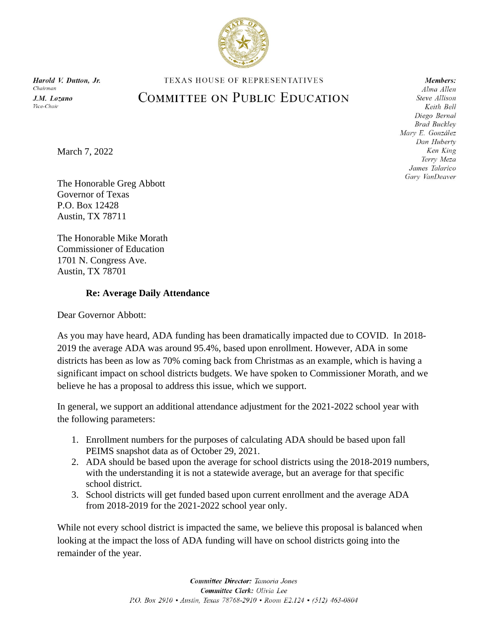

March 7, 2022

## TEXAS HOUSE OF REPRESENTATIVES **COMMITTEE ON PUBLIC EDUCATION**

Members: Alma Allen Steve Allison Keith Bell Diego Bernal **Brad Buckley** Mary E. González Dan Huberty Ken King Terry Meza James Talarico Gary VanDeaver

The Honorable Greg Abbott Governor of Texas P.O. Box 12428 Austin, TX 78711

The Honorable Mike Morath Commissioner of Education 1701 N. Congress Ave. Austin, TX 78701

### **Re: Average Daily Attendance**

Dear Governor Abbott:

As you may have heard, ADA funding has been dramatically impacted due to COVID. In 2018- 2019 the average ADA was around 95.4%, based upon enrollment. However, ADA in some districts has been as low as 70% coming back from Christmas as an example, which is having a significant impact on school districts budgets. We have spoken to Commissioner Morath, and we believe he has a proposal to address this issue, which we support.

In general, we support an additional attendance adjustment for the 2021-2022 school year with the following parameters:

- 1. Enrollment numbers for the purposes of calculating ADA should be based upon fall PEIMS snapshot data as of October 29, 2021.
- 2. ADA should be based upon the average for school districts using the 2018-2019 numbers, with the understanding it is not a statewide average, but an average for that specific school district.
- 3. School districts will get funded based upon current enrollment and the average ADA from 2018-2019 for the 2021-2022 school year only.

While not every school district is impacted the same, we believe this proposal is balanced when looking at the impact the loss of ADA funding will have on school districts going into the remainder of the year.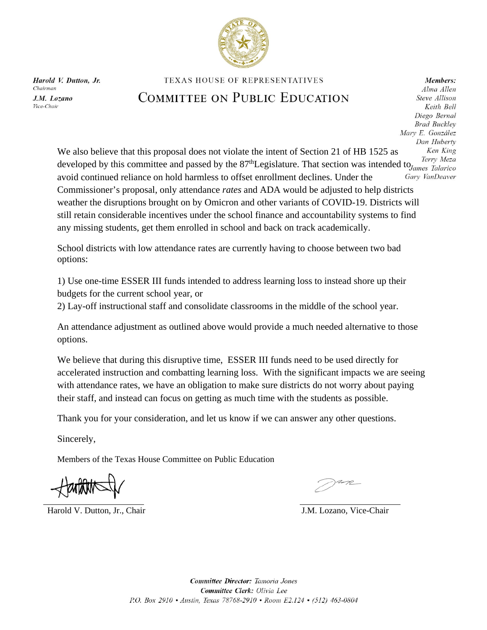

### TEXAS HOUSE OF REPRESENTATIVES

## COMMITTEE ON PUBLIC EDUCATION

Members: Alma Allen Steve Allison Keith Bell Diego Bernal **Brad Buckley** Mary E. González Dan Huberty Ken King Terry Meza

We also believe that this proposal does not violate the intent of Section 21 of HB 1525 as developed by this committee and passed by the  $87<sup>th</sup>$ Legislature. That section was intended to  $I_{\text{Gemes}}$  Talarico avoid continued reliance on hold harmless to offset enrollment declines. Under the Gary VanDeaver Commissioner's proposal, only attendance *rates* and ADA would be adjusted to help districts weather the disruptions brought on by Omicron and other variants of COVID-19. Districts will still retain considerable incentives under the school finance and accountability systems to find any missing students, get them enrolled in school and back on track academically.

School districts with low attendance rates are currently having to choose between two bad options:

1) Use one-time ESSER III funds intended to address learning loss to instead shore up their budgets for the current school year, or

2) Lay-off instructional staff and consolidate classrooms in the middle of the school year.

An attendance adjustment as outlined above would provide a much needed alternative to those options.

We believe that during this disruptive time, ESSER III funds need to be used directly for accelerated instruction and combatting learning loss. With the significant impacts we are seeing with attendance rates, we have an obligation to make sure districts do not worry about paying their staff, and instead can focus on getting as much time with the students as possible.

Thank you for your consideration, and let us know if we can answer any other questions.

Sincerely,

Members of the Texas House Committee on Public Education

Harold V. Dutton, Jr., Chair **J.M. Lozano, Vice-Chair** J.M. Lozano, Vice-Chair

Committee Director: Tamoria Jones Committee Clerk: Olivia Lee P.O. Box 2910 · Austin, Texas 78768-2910 · Room E2.124 · (512) 463-0804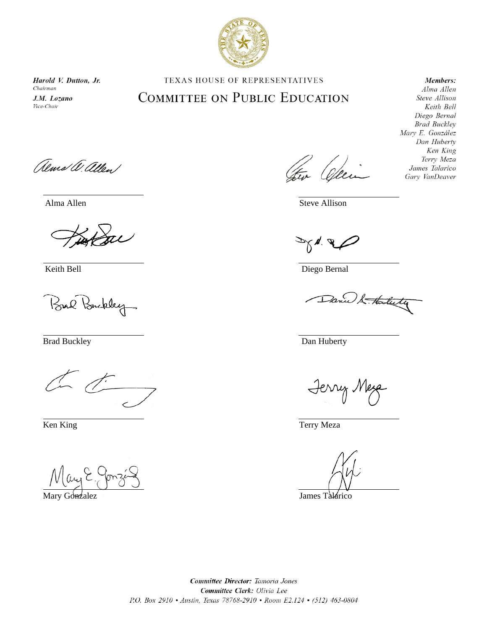

# **TEXAS HOUSE OF REPRESENTATIVES**

# **COMMITTEE ON PUBLIC EDUCATION**

#### Members:

Alma Allen Steve Allison Keith Bell Diego Bernal **Brad Buckley** Mary E. González Dan Huberty Ken King Terry Meza James Talarico Gary VanDeaver

alma W. allen

Bul Buckley

May E.

Mary Gonzalez James Talarico

Ofee

Alma Allen Steve Allison

Keith Bell Diego Bernal

Danie & Hosterty

Brad Buckley Dan Huberty

Jerry Mesa

Ken King Terry Meza

Committee Director: Tamoria Jones Committee Clerk: Olivia Lee P.O. Box 2910 · Austin, Texas 78768-2910 · Room E2.124 · (512) 463-0804